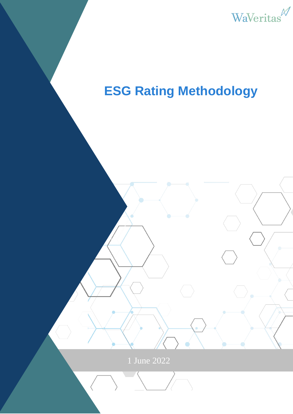

# **ESG Rating Methodology**

1 June 2022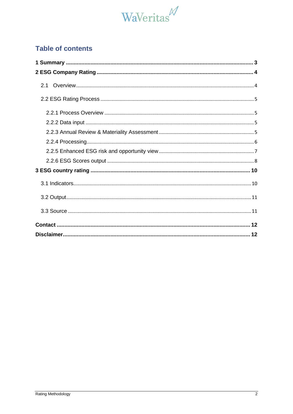

# **Table of contents**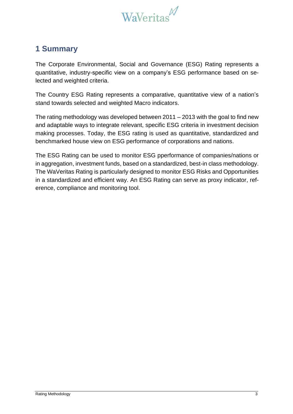

# <span id="page-2-0"></span>**1 Summary**

The Corporate Environmental, Social and Governance (ESG) Rating represents a quantitative, industry-specific view on a company's ESG performance based on selected and weighted criteria.

The Country ESG Rating represents a comparative, quantitative view of a nation's stand towards selected and weighted Macro indicators.

The rating methodology was developed between 2011 – 2013 with the goal to find new and adaptable ways to integrate relevant, specific ESG criteria in investment decision making processes. Today, the ESG rating is used as quantitative, standardized and benchmarked house view on ESG performance of corporations and nations.

The ESG Rating can be used to monitor ESG pperformance of companies/nations or in aggregation, investment funds, based on a standardized, best-in class methodology. The WaVeritas Rating is particularly designed to monitor ESG Risks and Opportunities in a standardized and efficient way. An ESG Rating can serve as proxy indicator, reference, compliance and monitoring tool.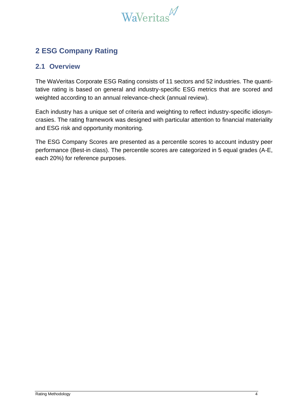

# <span id="page-3-0"></span>**2 ESG Company Rating**

## <span id="page-3-1"></span>**2.1 Overview**

The WaVeritas Corporate ESG Rating consists of 11 sectors and 52 industries. The quantitative rating is based on general and industry-specific ESG metrics that are scored and weighted according to an annual relevance-check (annual review).

Each industry has a unique set of criteria and weighting to reflect industry-specific idiosyncrasies. The rating framework was designed with particular attention to financial materiality and ESG risk and opportunity monitoring.

The ESG Company Scores are presented as a percentile scores to account industry peer performance (Best-in class). The percentile scores are categorized in 5 equal grades (A-E, each 20%) for reference purposes.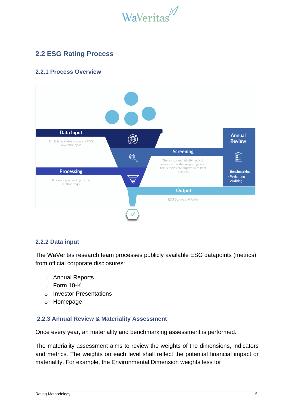

# <span id="page-4-0"></span>**2.2 ESG Rating Process**

## <span id="page-4-1"></span>**2.2.1 Process Overview**



#### <span id="page-4-2"></span>**2.2.2 Data input**

The WaVeritas research team processes publicly available ESG datapoints (metrics) from official corporate disclosures:

- o Annual Reports
- o Form 10-K
- o Investor Presentations
- o Homepage

#### <span id="page-4-3"></span>**2.2.3 Annual Review & Materiality Assessment**

Once every year, an materiality and benchmarking assessment is performed.

The materiality assessment aims to review the weights of the dimensions, indicators and metrics. The weights on each level shall reflect the potential financial impact or materiality. For example, the Environmental Dimension weights less for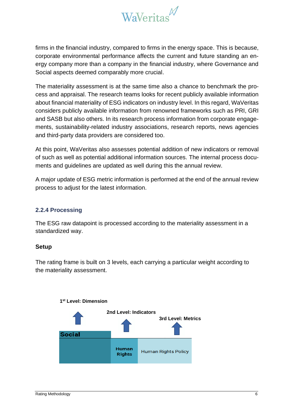

firms in the financial industry, compared to firms in the energy space. This is because, corporate environmental performance affects the current and future standing an energy company more than a company in the financial industry, where Governance and Social aspects deemed comparably more crucial.

The materiality assessment is at the same time also a chance to benchmark the process and appraisal. The research teams looks for recent publicly available information about financial materiality of ESG indicators on industry level. In this regard, WaVeritas considers publicly available information from renowned frameworks such as PRI, GRI and SASB but also others. In its research process information from corporate engagements, sustainability-related industry associations, research reports, news agencies and third-party data providers are considered too.

At this point, WaVeritas also assesses potential addition of new indicators or removal of such as well as potential additional information sources. The internal process documents and guidelines are updated as well during this the annual review.

A major update of ESG metric information is performed at the end of the annual review process to adjust for the latest information.

### <span id="page-5-0"></span>**2.2.4 Processing**

The ESG raw datapoint is processed according to the materiality assessment in a standardized way.

#### **Setup**

The rating frame is built on 3 levels, each carrying a particular weight according to the materiality assessment.

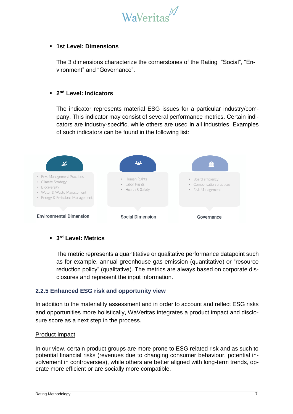

#### ▪ **1st Level: Dimensions**

The 3 dimensions characterize the cornerstones of the Rating "Social", "Environment" and "Governance".

#### ▪ **2 nd Level: Indicators**

The indicator represents material ESG issues for a particular industry/company. This indicator may consist of several performance metrics. Certain indicators are industry-specific, while others are used in all industries. Examples of such indicators can be found in the following list:



#### ▪ **3 rd Level: Metrics**

The metric represents a quantitative or qualitative performance datapoint such as for example, annual greenhouse gas emission (quantitative) or "resource reduction policy" (qualitative). The metrics are always based on corporate disclosures and represent the input information.

#### <span id="page-6-0"></span>**2.2.5 Enhanced ESG risk and opportunity view**

In addition to the materiality assessment and in order to account and reflect ESG risks and opportunities more holistically, WaVeritas integrates a product impact and disclosure score as a next step in the process.

#### Product Impact

In our view, certain product groups are more prone to ESG related risk and as such to potential financial risks (revenues due to changing consumer behaviour, potential involvement in controversies), while others are better aligned with long-term trends, operate more efficient or are socially more compatible.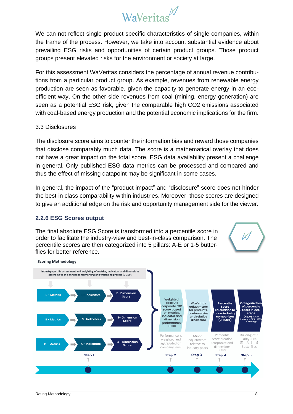

We can not reflect single product-specific characteristics of single companies, within the frame of the process. However, we take into account substantial evidence about prevailing ESG risks and opportunities of certain product groups. Those product groups present elevated risks for the environment or society at large.

For this assessment WaVeritas considers the percentage of annual revenue contributions from a particular product group. As example, revenues from renewable energy production are seen as favorable, given the capacity to generate energy in an ecoefficient way. On the other side revenues from coal (mining, energy generation) are seen as a potential ESG risk, given the comparable high CO2 emissions associated with coal-based energy production and the potential economic implications for the firm.

#### 3.3 Disclosures

The disclosure score aims to counter the information bias and reward those companies that disclose comparably much data. The score is a mathematical overlay that does not have a great impact on the total score. ESG data availability present a challenge in general. Only published ESG data metrics can be processed and compared and thus the effect of missing datapoint may be significant in some cases.

In general, the impact of the "product impact" and "disclosure" score does not hinder the best-in class comparability within industries. Moreover, those scores are designed to give an additional edge on the risk and opportunity management side for the viewer.

#### <span id="page-7-0"></span>**2.2.6 ESG Scores output**

The final absolute ESG Score is transformed into a percentile score in order to facilitate the industry-view and best-in-class comparison. The percentile scores are then categorized into 5 pillars: A-E or 1-5 butterflies for better reference.



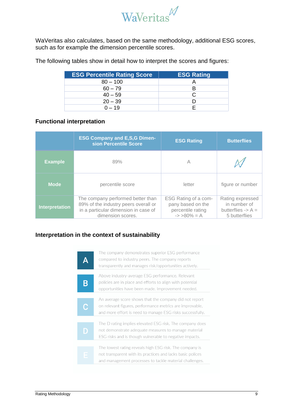

WaVeritas also calculates, based on the same methodology, additional ESG scores, such as for example the dimension percentile scores.

The following tables show in detail how to interpret the scores and figures:

| <b>ESG Percentile Rating Score</b> | <b>ESG Rating</b> |
|------------------------------------|-------------------|
| $80 - 100$                         |                   |
| $60 - 79$                          | R                 |
| $40 - 59$                          | C.                |
| $20 - 39$                          |                   |
| $0 - 19$                           |                   |

### **Functional interpretation**

|                       | <b>ESG Company and E,S,G Dimen-</b><br>sion Percentile Score                                                                           | <b>ESG Rating</b>                                                                 | <b>Butterflies</b>                                                                   |
|-----------------------|----------------------------------------------------------------------------------------------------------------------------------------|-----------------------------------------------------------------------------------|--------------------------------------------------------------------------------------|
| <b>Example</b>        | 89%                                                                                                                                    | A                                                                                 |                                                                                      |
| <b>Mode</b>           | percentile score                                                                                                                       | letter                                                                            | figure or number                                                                     |
| <b>Interpretation</b> | The company performed better than<br>89% of the industry peers overall or<br>in a particular dimension in case of<br>dimension scores. | ESG Rating of a com-<br>pany based on the<br>percentile rating<br>$\div$ >80% = A | Rating expressed<br>in number of<br>butterflies $\rightarrow$ A $=$<br>5 butterflies |

## **Interpretation in the context of sustainability**

|   | The company demonstrates superior ESG performance<br>compared to industry peers. The company reports<br>transparently and manages risk/opportunities actively.                   |
|---|----------------------------------------------------------------------------------------------------------------------------------------------------------------------------------|
|   | Above industry-average ESG performance. Relevant<br>policies are in place and efforts to align with potential<br>opportunities have been made. Improvement needed.               |
| C | An average score shows that the company did not report<br>on relevant figures, performance metrics are improvable,<br>and more effort is need to manage ESG risks successfully.  |
| D | The D rating implies elevated ESG risk. The company does<br>not demonstrate adequate measures to manage material<br>ESG risks and is though vulnerable to negative impacts.      |
|   |                                                                                                                                                                                  |
| E | The lowest rating reveals high ESG risk. The company is<br>not transparent with its practices and lacks basic polices<br>and management processes to tackle material challenges. |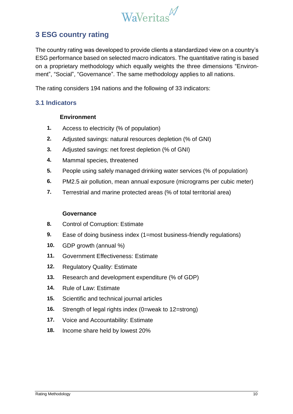

# <span id="page-9-0"></span>**3 ESG country rating**

The country rating was developed to provide clients a standardized view on a country's ESG performance based on selected macro indicators. The quantitative rating is based on a proprietary methodology which equally weights the three dimensions "Environment", "Social", "Governance". The same methodology applies to all nations.

The rating considers 194 nations and the following of 33 indicators:

## <span id="page-9-1"></span>**3.1 Indicators**

## **Environment**

- **1.** Access to electricity (% of population)
- **2.** Adjusted savings: natural resources depletion (% of GNI)
- **3.** Adjusted savings: net forest depletion (% of GNI)
- **4.** Mammal species, threatened
- **5.** People using safely managed drinking water services (% of population)
- **6.** PM2.5 air pollution, mean annual exposure (micrograms per cubic meter)
- **7.** Terrestrial and marine protected areas (% of total territorial area)

## **Governance**

- **8.** Control of Corruption: Estimate
- **9.** Ease of doing business index (1=most business-friendly regulations)
- **10.** GDP growth (annual %)
- **11.** Government Effectiveness: Estimate
- **12.** Regulatory Quality: Estimate
- **13.** Research and development expenditure (% of GDP)
- **14.** Rule of Law: Estimate
- **15.** Scientific and technical journal articles
- **16.** Strength of legal rights index (0=weak to 12=strong)
- **17.** Voice and Accountability: Estimate
- **18.** Income share held by lowest 20%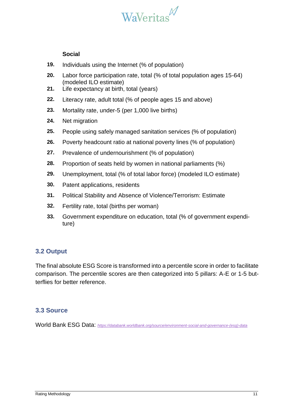

#### **Social**

- **19.** Individuals using the Internet (% of population)
- **20.** Labor force participation rate, total (% of total population ages 15-64) (modeled ILO estimate)
- **21.** Life expectancy at birth, total (years)
- **22.** Literacy rate, adult total (% of people ages 15 and above)
- **23.** Mortality rate, under-5 (per 1,000 live births)
- **24.** Net migration
- **25.** People using safely managed sanitation services (% of population)
- **26.** Poverty headcount ratio at national poverty lines (% of population)
- **27.** Prevalence of undernourishment (% of population)
- **28.** Proportion of seats held by women in national parliaments (%)
- **29.** Unemployment, total (% of total labor force) (modeled ILO estimate)
- **30.** Patent applications, residents
- **31.** Political Stability and Absence of Violence/Terrorism: Estimate
- **32.** Fertility rate, total (births per woman)
- **33.** Government expenditure on education, total (% of government expenditure)

## <span id="page-10-0"></span>**3.2 Output**

The final absolute ESG Score is transformed into a percentile score in order to facilitate comparison. The percentile scores are then categorized into 5 pillars: A-E or 1-5 butterflies for better reference.

## <span id="page-10-1"></span>**3.3 Source**

World Bank ESG Data: *[https://databank.worldbank.org/source/environment-social-and-governance-\(esg\)-data](https://databank.worldbank.org/source/environment-social-and-governance-(esg)-data)*